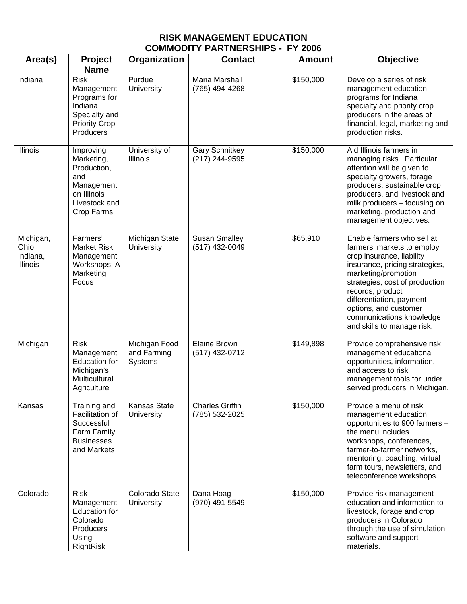## **RISK MANAGEMENT EDUCATION COMMODITY PARTNERSHIPS - FY 2006**

| Area(s)                                    | <b>Project</b><br><b>Name</b>                                                                              | Organization                            | <b>Contact</b>                           | <b>Amount</b> | <b>Objective</b>                                                                                                                                                                                                                                                                                                    |
|--------------------------------------------|------------------------------------------------------------------------------------------------------------|-----------------------------------------|------------------------------------------|---------------|---------------------------------------------------------------------------------------------------------------------------------------------------------------------------------------------------------------------------------------------------------------------------------------------------------------------|
| Indiana                                    | <b>Risk</b><br>Management<br>Programs for<br>Indiana<br>Specialty and<br><b>Priority Crop</b><br>Producers | Purdue<br>University                    | Maria Marshall<br>(765) 494-4268         | \$150,000     | Develop a series of risk<br>management education<br>programs for Indiana<br>specialty and priority crop<br>producers in the areas of<br>financial, legal, marketing and<br>production risks.                                                                                                                        |
| Illinois                                   | Improving<br>Marketing,<br>Production,<br>and<br>Management<br>on Illinois<br>Livestock and<br>Crop Farms  | University of<br>Illinois               | <b>Gary Schnitkey</b><br>(217) 244-9595  | \$150,000     | Aid Illinois farmers in<br>managing risks. Particular<br>attention will be given to<br>specialty growers, forage<br>producers, sustainable crop<br>producers, and livestock and<br>milk producers - focusing on<br>marketing, production and<br>management objectives.                                              |
| Michigan,<br>Ohio,<br>Indiana,<br>Illinois | Farmers'<br><b>Market Risk</b><br>Management<br>Workshops: A<br>Marketing<br>Focus                         | Michigan State<br>University            | <b>Susan Smalley</b><br>(517) 432-0049   | \$65,910      | Enable farmers who sell at<br>farmers' markets to employ<br>crop insurance, liability<br>insurance, pricing strategies,<br>marketing/promotion<br>strategies, cost of production<br>records, product<br>differentiation, payment<br>options, and customer<br>communications knowledge<br>and skills to manage risk. |
| Michigan                                   | <b>Risk</b><br>Management<br><b>Education for</b><br>Michigan's<br>Multicultural<br>Agriculture            | Michigan Food<br>and Farming<br>Systems | <b>Elaine Brown</b><br>(517) 432-0712    | \$149,898     | Provide comprehensive risk<br>management educational<br>opportunities, information,<br>and access to risk<br>management tools for under<br>served producers in Michigan.                                                                                                                                            |
| Kansas                                     | Training and<br>Facilitation of<br>Successful<br>Farm Family<br><b>Businesses</b><br>and Markets           | <b>Kansas State</b><br>University       | <b>Charles Griffin</b><br>(785) 532-2025 | \$150,000     | Provide a menu of risk<br>management education<br>opportunities to 900 farmers -<br>the menu includes<br>workshops, conferences,<br>farmer-to-farmer networks,<br>mentoring, coaching, virtual<br>farm tours, newsletters, and<br>teleconference workshops.                                                         |
| Colorado                                   | <b>Risk</b><br>Management<br>Education for<br>Colorado<br>Producers<br>Using<br>RightRisk                  | Colorado State<br>University            | Dana Hoag<br>(970) 491-5549              | \$150,000     | Provide risk management<br>education and information to<br>livestock, forage and crop<br>producers in Colorado<br>through the use of simulation<br>software and support<br>materials.                                                                                                                               |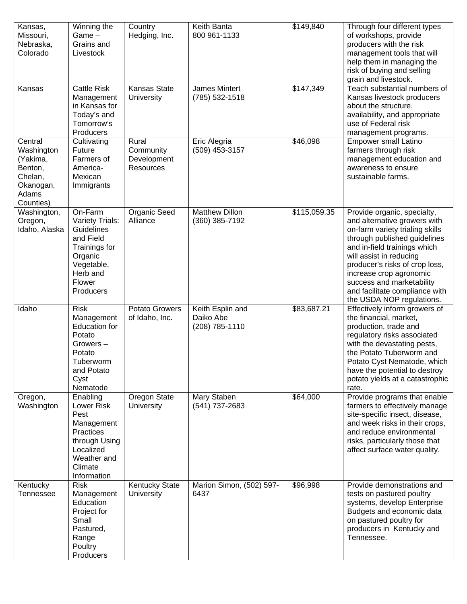| Kansas,<br>Missouri,<br>Nebraska,<br>Colorado                                              | Winning the<br>Game-<br>Grains and<br>Livestock                                                                                    | Country<br>Hedging, Inc.                              | Keith Banta<br>800 961-1133                     | \$149,840    | Through four different types<br>of workshops, provide<br>producers with the risk<br>management tools that will<br>help them in managing the<br>risk of buying and selling<br>grain and livestock.                                                                                                                                                  |
|--------------------------------------------------------------------------------------------|------------------------------------------------------------------------------------------------------------------------------------|-------------------------------------------------------|-------------------------------------------------|--------------|----------------------------------------------------------------------------------------------------------------------------------------------------------------------------------------------------------------------------------------------------------------------------------------------------------------------------------------------------|
| Kansas                                                                                     | <b>Cattle Risk</b><br>Management<br>in Kansas for<br>Today's and<br>Tomorrow's<br>Producers                                        | Kansas State<br>University                            | James Mintert<br>(785) 532-1518                 | \$147,349    | Teach substantial numbers of<br>Kansas livestock producers<br>about the structure,<br>availability, and appropriate<br>use of Federal risk<br>management programs.                                                                                                                                                                                 |
| Central<br>Washington<br>(Yakima,<br>Benton,<br>Chelan,<br>Okanogan,<br>Adams<br>Counties) | Cultivating<br>Future<br>Farmers of<br>America-<br>Mexican<br>Immigrants                                                           | Rural<br>Community<br>Development<br><b>Resources</b> | Eric Alegria<br>(509) 453-3157                  | \$46,098     | <b>Empower small Latino</b><br>farmers through risk<br>management education and<br>awareness to ensure<br>sustainable farms.                                                                                                                                                                                                                       |
| Washington,<br>Oregon,<br>Idaho, Alaska                                                    | On-Farm<br>Variety Trials:<br>Guidelines<br>and Field<br>Trainings for<br>Organic<br>Vegetable,<br>Herb and<br>Flower<br>Producers | Organic Seed<br>Alliance                              | <b>Matthew Dillon</b><br>(360) 385-7192         | \$115,059.35 | Provide organic, specialty,<br>and alternative growers with<br>on-farm variety trialing skills<br>through published guidelines<br>and in-field trainings which<br>will assist in reducing<br>producer's risks of crop loss,<br>increase crop agronomic<br>success and marketability<br>and facilitate compliance with<br>the USDA NOP regulations. |
| Idaho                                                                                      | <b>Risk</b><br>Management<br><b>Education for</b><br>Potato<br>Growers-<br>Potato<br>Tuberworm<br>and Potato<br>Cyst<br>Nematode   | Potato Growers<br>of Idaho, Inc.                      | Keith Esplin and<br>Daiko Abe<br>(208) 785-1110 | \$83,687.21  | Effectively inform growers of<br>the financial, market,<br>production, trade and<br>regulatory risks associated<br>with the devastating pests,<br>the Potato Tuberworm and<br>Potato Cyst Nematode, which<br>have the potential to destroy<br>potato yields at a catastrophic<br>rate.                                                             |
| Oregon,<br>Washington                                                                      | Enabling<br>Lower Risk<br>Pest<br>Management<br>Practices<br>through Using<br>Localized<br>Weather and<br>Climate<br>Information   | Oregon State<br>University                            | Mary Staben<br>(541) 737-2683                   | \$64,000     | Provide programs that enable<br>farmers to effectively manage<br>site-specific insect, disease,<br>and week risks in their crops,<br>and reduce environmental<br>risks, particularly those that<br>affect surface water quality.                                                                                                                   |
| Kentucky<br><b>Tennessee</b>                                                               | <b>Risk</b><br>Management<br>Education<br>Project for<br>Small<br>Pastured,<br>Range<br>Poultry<br>Producers                       | <b>Kentucky State</b><br>University                   | Marion Simon, (502) 597-<br>6437                | \$96,998     | Provide demonstrations and<br>tests on pastured poultry<br>systems, develop Enterprise<br>Budgets and economic data<br>on pastured poultry for<br>producers in Kentucky and<br>Tennessee.                                                                                                                                                          |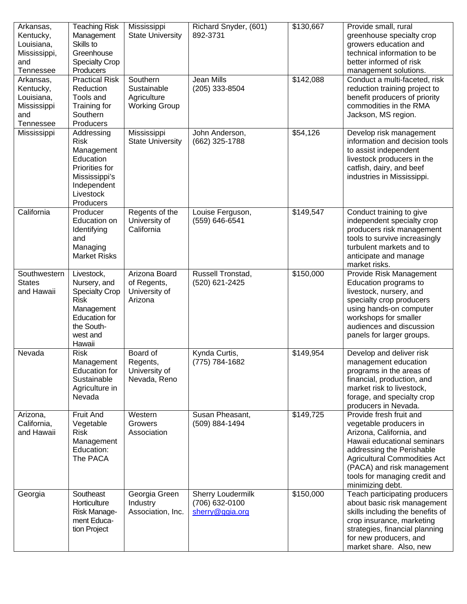| Arkansas,<br>Kentucky,<br>Louisiana,<br>Mississippi,<br>and<br>Tennessee | <b>Teaching Risk</b><br>Management<br>Skills to<br>Greenhouse<br><b>Specialty Crop</b><br>Producers                                          | Mississippi<br><b>State University</b>                         | Richard Snyder, (601)<br>892-3731                             | \$130,667 | Provide small, rural<br>greenhouse specialty crop<br>growers education and<br>technical information to be<br>better informed of risk<br>management solutions.                                                                                                       |
|--------------------------------------------------------------------------|----------------------------------------------------------------------------------------------------------------------------------------------|----------------------------------------------------------------|---------------------------------------------------------------|-----------|---------------------------------------------------------------------------------------------------------------------------------------------------------------------------------------------------------------------------------------------------------------------|
| Arkansas,<br>Kentucky,<br>Louisiana,<br>Mississippi<br>and<br>Tennessee  | <b>Practical Risk</b><br>Reduction<br>Tools and<br>Training for<br>Southern<br>Producers                                                     | Southern<br>Sustainable<br>Agriculture<br><b>Working Group</b> | Jean Mills<br>(205) 333-8504                                  | \$142,088 | Conduct a multi-faceted, risk<br>reduction training project to<br>benefit producers of priority<br>commodities in the RMA<br>Jackson, MS region.                                                                                                                    |
| Mississippi                                                              | Addressing<br><b>Risk</b><br>Management<br>Education<br>Priorities for<br>Mississippi's<br>Independent<br>Livestock<br>Producers             | Mississippi<br><b>State University</b>                         | John Anderson,<br>(662) 325-1788                              | \$54,126  | Develop risk management<br>information and decision tools<br>to assist independent<br>livestock producers in the<br>catfish, dairy, and beef<br>industries in Mississippi.                                                                                          |
| California                                                               | Producer<br>Education on<br>Identifying<br>and<br>Managing<br><b>Market Risks</b>                                                            | Regents of the<br>University of<br>California                  | Louise Ferguson,<br>(559) 646-6541                            | \$149,547 | Conduct training to give<br>independent specialty crop<br>producers risk management<br>tools to survive increasingly<br>turbulent markets and to<br>anticipate and manage<br>market risks.                                                                          |
| Southwestern<br><b>States</b><br>and Hawaii                              | Livestock,<br>Nursery, and<br><b>Specialty Crop</b><br><b>Risk</b><br>Management<br><b>Education for</b><br>the South-<br>west and<br>Hawaii | Arizona Board<br>of Regents,<br>University of<br>Arizona       | Russell Tronstad,<br>(520) 621-2425                           | \$150,000 | Provide Risk Management<br>Education programs to<br>livestock, nursery, and<br>specialty crop producers<br>using hands-on computer<br>workshops for smaller<br>audiences and discussion<br>panels for larger groups.                                                |
| Nevada                                                                   | <b>Risk</b><br>Management<br><b>Education for</b><br>Sustainable<br>Agriculture in<br>Nevada                                                 | Board of<br>Regents,<br>University of<br>Nevada, Reno          | Kynda Curtis,<br>(775) 784-1682                               | \$149,954 | Develop and deliver risk<br>management education<br>programs in the areas of<br>financial, production, and<br>market risk to livestock,<br>forage, and specialty crop<br>producers in Nevada.                                                                       |
| Arizona,<br>California,<br>and Hawaii                                    | Fruit And<br>Vegetable<br><b>Risk</b><br>Management<br>Education:<br>The PACA                                                                | Western<br>Growers<br>Association                              | Susan Pheasant,<br>(509) 884-1494                             | \$149,725 | Provide fresh fruit and<br>vegetable producers in<br>Arizona, California, and<br>Hawaii educational seminars<br>addressing the Perishable<br><b>Agricultural Commodities Act</b><br>(PACA) and risk management<br>tools for managing credit and<br>minimizing debt. |
| Georgia                                                                  | Southeast<br>Horticulture<br>Risk Manage-<br>ment Educa-<br>tion Project                                                                     | Georgia Green<br>Industry<br>Association, Inc.                 | <b>Sherry Loudermilk</b><br>(706) 632-0100<br>sherry@ggia.org | \$150,000 | Teach participating producers<br>about basic risk management<br>skills including the benefits of<br>crop insurance, marketing<br>strategies, financial planning<br>for new producers, and<br>market share. Also, new                                                |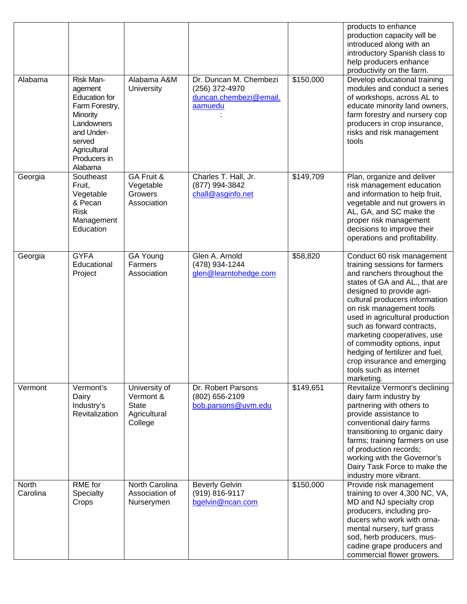| Alabama           | Risk Man-<br>agement<br><b>Education for</b><br>Farm Forestry,<br>Minority<br>Landowners<br>and Under-<br>served<br>Agricultural | Alabama A&M<br>University                                             | Dr. Duncan M. Chembezi<br>(256) 372-4970<br>duncan.chembezi@email.<br>aamuedu | \$150,000 | products to enhance<br>production capacity will be<br>introduced along with an<br>introductory Spanish class to<br>help producers enhance<br>productivity on the farm.<br>Develop educational training<br>modules and conduct a series<br>of workshops, across AL to<br>educate minority land owners,<br>farm forestry and nursery cop<br>producers in crop insurance,<br>risks and risk management<br>tools                                                     |
|-------------------|----------------------------------------------------------------------------------------------------------------------------------|-----------------------------------------------------------------------|-------------------------------------------------------------------------------|-----------|------------------------------------------------------------------------------------------------------------------------------------------------------------------------------------------------------------------------------------------------------------------------------------------------------------------------------------------------------------------------------------------------------------------------------------------------------------------|
|                   | Producers in<br>Alabama                                                                                                          |                                                                       |                                                                               |           |                                                                                                                                                                                                                                                                                                                                                                                                                                                                  |
| Georgia           | Southeast<br>Fruit,<br>Vegetable<br>& Pecan<br><b>Risk</b><br>Management<br>Education                                            | GA Fruit &<br>Vegetable<br>Growers<br>Association                     | Charles T. Hall, Jr.<br>(877) 994-3842<br>chall@asginfo.net                   | \$149,709 | Plan, organize and deliver<br>risk management education<br>and information to help fruit,<br>vegetable and nut growers in<br>AL, GA, and SC make the<br>proper risk management<br>decisions to improve their<br>operations and profitability.                                                                                                                                                                                                                    |
| Georgia           | <b>GYFA</b><br>Educational<br>Project                                                                                            | GA Young<br>Farmers<br>Association                                    | Glen A. Arnold<br>(478) 934-1244<br>glen@learntohedge.com                     | \$58,820  | Conduct 60 risk management<br>training sessions for farmers<br>and ranchers throughout the<br>states of GA and AL., that are<br>designed to provide agri-<br>cultural producers information<br>on risk management tools<br>used in agricultural production<br>such as forward contracts,<br>marketing cooperatives, use<br>of commodity options, input<br>hedging of fertilizer and fuel,<br>crop insurance and emerging<br>tools such as internet<br>marketing. |
| Vermont           | Vermont's<br>Dairy<br>Industry's<br>Revitalization                                                                               | University of<br>Vermont &<br><b>State</b><br>Agricultural<br>College | Dr. Robert Parsons<br>(802) 656-2109<br>bob.parsons@uvm.edu                   | \$149,651 | Revitalize Vermont's declining<br>dairy farm industry by<br>partnering with others to<br>provide assistance to<br>conventional dairy farms<br>transitioning to organic dairy<br>farms; training farmers on use<br>of production records;<br>working with the Governor's<br>Dairy Task Force to make the<br>industry more vibrant.                                                                                                                                |
| North<br>Carolina | RME for<br>Specialty<br>Crops                                                                                                    | North Carolina<br>Association of<br>Nurserymen                        | <b>Beverly Gelvin</b><br>(919) 816-9117<br>bgelvin@ncan.com                   | \$150,000 | Provide risk management<br>training to over 4,300 NC, VA,<br>MD and NJ specialty crop<br>producers, including pro-<br>ducers who work with orna-<br>mental nursery, turf grass<br>sod, herb producers, mus-<br>cadine grape producers and<br>commercial flower growers.                                                                                                                                                                                          |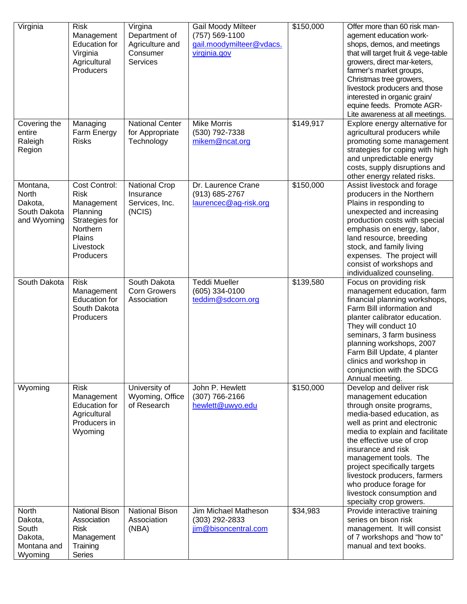| Virginia                                                       | <b>Risk</b><br>Management<br><b>Education for</b><br>Virginia<br>Agricultural<br>Producers                               | Virgina<br>Department of<br>Agriculture and<br>Consumer<br><b>Services</b> | <b>Gail Moody Milteer</b><br>(757) 569-1100<br>gail.moodymilteer@vdacs.<br>virginia.gov | \$150,000 | Offer more than 60 risk man-<br>agement education work-<br>shops, demos, and meetings<br>that will target fruit & vege-table<br>growers, direct mar-keters,<br>farmer's market groups,<br>Christmas tree growers,<br>livestock producers and those<br>interested in organic grain/<br>equine feeds. Promote AGR-<br>Lite awareness at all meetings.                                                        |
|----------------------------------------------------------------|--------------------------------------------------------------------------------------------------------------------------|----------------------------------------------------------------------------|-----------------------------------------------------------------------------------------|-----------|------------------------------------------------------------------------------------------------------------------------------------------------------------------------------------------------------------------------------------------------------------------------------------------------------------------------------------------------------------------------------------------------------------|
| Covering the<br>entire<br>Raleigh<br>Region                    | Managing<br>Farm Energy<br><b>Risks</b>                                                                                  | National Center<br>for Appropriate<br>Technology                           | <b>Mike Morris</b><br>(530) 792-7338<br>mikem@ncat.org                                  | \$149,917 | Explore energy alternative for<br>agricultural producers while<br>promoting some management<br>strategies for coping with high<br>and unpredictable energy<br>costs, supply disruptions and<br>other energy related risks.                                                                                                                                                                                 |
| Montana,<br>North<br>Dakota,<br>South Dakota<br>and Wyoming    | Cost Control:<br><b>Risk</b><br>Management<br>Planning<br>Strategies for<br>Northern<br>Plains<br>Livestock<br>Producers | <b>National Crop</b><br>Insurance<br>Services, Inc.<br>(NCIS)              | Dr. Laurence Crane<br>(913) 685-2767<br>laurencec@ag-risk.org                           | \$150,000 | Assist livestock and forage<br>producers in the Northern<br>Plains in responding to<br>unexpected and increasing<br>production costs with special<br>emphasis on energy, labor,<br>land resource, breeding<br>stock, and family living<br>expenses. The project will<br>consist of workshops and<br>individualized counseling.                                                                             |
| South Dakota                                                   | <b>Risk</b><br>Management<br><b>Education for</b><br>South Dakota<br>Producers                                           | South Dakota<br><b>Corn Growers</b><br>Association                         | <b>Teddi Mueller</b><br>(605) 334-0100<br>teddim@sdcorn.org                             | \$139,580 | Focus on providing risk<br>management education, farm<br>financial planning workshops,<br>Farm Bill information and<br>planter calibrator education.<br>They will conduct 10<br>seminars, 3 farm business<br>planning workshops, 2007<br>Farm Bill Update, 4 planter<br>clinics and workshop in<br>conjunction with the SDCG<br>Annual meeting.                                                            |
| Wyoming                                                        | <b>Risk</b><br>Management<br><b>Education for</b><br>Agricultural<br>Producers in<br>Wyoming                             | University of<br>Wyoming, Office<br>of Research                            | John P. Hewlett<br>(307) 766-2166<br>hewlett@uwyo.edu                                   | \$150,000 | Develop and deliver risk<br>management education<br>through onsite programs,<br>media-based education, as<br>well as print and electronic<br>media to explain and facilitate<br>the effective use of crop<br>insurance and risk<br>management tools. The<br>project specifically targets<br>livestock producers, farmers<br>who produce forage for<br>livestock consumption and<br>specialty crop growers. |
| North<br>Dakota,<br>South<br>Dakota,<br>Montana and<br>Wyoming | <b>National Bison</b><br>Association<br><b>Risk</b><br>Management<br>Training<br>Series                                  | <b>National Bison</b><br>Association<br>(NBA)                              | Jim Michael Matheson<br>(303) 292-2833<br>jim@bisoncentral.com                          | \$34,983  | Provide interactive training<br>series on bison risk<br>management. It will consist<br>of 7 workshops and "how to"<br>manual and text books.                                                                                                                                                                                                                                                               |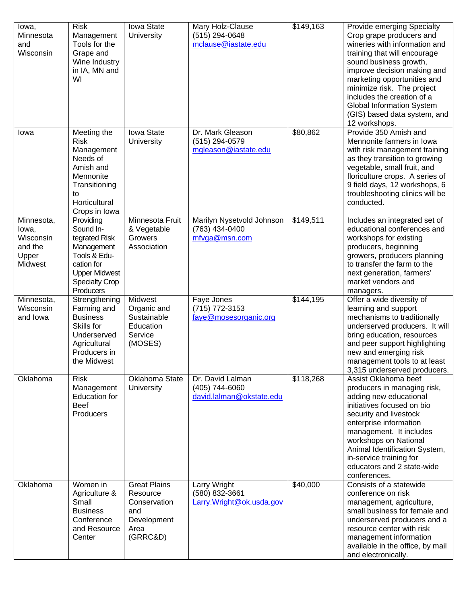| lowa,<br>Minnesota<br>and<br>Wisconsin                                 | <b>Risk</b><br>Management<br>Tools for the<br>Grape and<br>Wine Industry<br>in IA, MN and<br>WI                                                   | Iowa State<br>University                                                                  | Mary Holz-Clause<br>(515) 294-0648<br>mclause@iastate.edu      | \$149,163 | Provide emerging Specialty<br>Crop grape producers and<br>wineries with information and<br>training that will encourage<br>sound business growth,<br>improve decision making and<br>marketing opportunities and<br>minimize risk. The project<br>includes the creation of a<br><b>Global Information System</b><br>(GIS) based data system, and<br>12 workshops. |
|------------------------------------------------------------------------|---------------------------------------------------------------------------------------------------------------------------------------------------|-------------------------------------------------------------------------------------------|----------------------------------------------------------------|-----------|------------------------------------------------------------------------------------------------------------------------------------------------------------------------------------------------------------------------------------------------------------------------------------------------------------------------------------------------------------------|
| Iowa                                                                   | Meeting the<br><b>Risk</b><br>Management<br>Needs of<br>Amish and<br>Mennonite<br>Transitioning<br>to<br>Horticultural<br>Crops in Iowa           | Iowa State<br>University                                                                  | Dr. Mark Gleason<br>(515) 294-0579<br>mgleason@iastate.edu     | \$80,862  | Provide 350 Amish and<br>Mennonite farmers in Iowa<br>with risk management training<br>as they transition to growing<br>vegetable, small fruit, and<br>floriculture crops. A series of<br>9 field days, 12 workshops, 6<br>troubleshooting clinics will be<br>conducted.                                                                                         |
| Minnesota,<br>lowa,<br>Wisconsin<br>and the<br>Upper<br><b>Midwest</b> | Providing<br>Sound In-<br>tegrated Risk<br>Management<br>Tools & Edu-<br>cation for<br><b>Upper Midwest</b><br><b>Specialty Crop</b><br>Producers | Minnesota Fruit<br>& Vegetable<br>Growers<br>Association                                  | Marilyn Nysetvold Johnson<br>(763) 434-0400<br>mfvga@msn.com   | \$149,511 | Includes an integrated set of<br>educational conferences and<br>workshops for existing<br>producers, beginning<br>growers, producers planning<br>to transfer the farm to the<br>next generation, farmers'<br>market vendors and<br>managers.                                                                                                                     |
| Minnesota,<br>Wisconsin<br>and lowa                                    | Strengthening<br>Farming and<br><b>Business</b><br>Skills for<br>Underserved<br>Agricultural<br>Producers in<br>the Midwest                       | Midwest<br>Organic and<br>Sustainable<br>Education<br>Service<br>(MOSES)                  | Faye Jones<br>(715) 772-3153<br>faye@mosesorganic.org          | \$144,195 | Offer a wide diversity of<br>learning and support<br>mechanisms to traditionally<br>underserved producers. It will<br>bring education, resources<br>and peer support highlighting<br>new and emerging risk<br>management tools to at least<br>3,315 underserved producers.                                                                                       |
| Oklahoma                                                               | <b>Risk</b><br>Management<br><b>Education for</b><br><b>Beef</b><br>Producers                                                                     | Oklahoma State<br>University                                                              | Dr. David Lalman<br>(405) 744-6060<br>david.lalman@okstate.edu | \$118,268 | Assist Oklahoma beef<br>producers in managing risk,<br>adding new educational<br>initiatives focused on bio<br>security and livestock<br>enterprise information<br>management. It includes<br>workshops on National<br>Animal Identification System,<br>in-service training for<br>educators and 2 state-wide<br>conferences.                                    |
| Oklahoma                                                               | Women in<br>Agriculture &<br>Small<br><b>Business</b><br>Conference<br>and Resource<br>Center                                                     | <b>Great Plains</b><br>Resource<br>Conservation<br>and<br>Development<br>Area<br>(GRRC&D) | Larry Wright<br>(580) 832-3661<br>Larry. Wright@ok.usda.gov    | \$40,000  | Consists of a statewide<br>conference on risk<br>management, agriculture,<br>small business for female and<br>underserved producers and a<br>resource center with risk<br>management information<br>available in the office, by mail<br>and electronically.                                                                                                      |